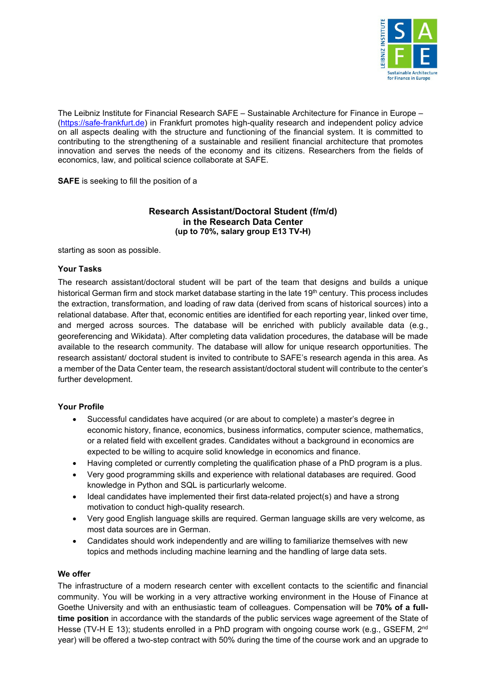

The Leibniz Institute for Financial Research SAFE – Sustainable Architecture for Finance in Europe – [\(https://safe-frankfurt.de\)](https://safe-frankfurt.de/) in Frankfurt promotes high-quality research and independent policy advice on all aspects dealing with the structure and functioning of the financial system. It is committed to contributing to the strengthening of a sustainable and resilient financial architecture that promotes innovation and serves the needs of the economy and its citizens. Researchers from the fields of economics, law, and political science collaborate at SAFE.

**SAFE** is seeking to fill the position of a

## **Research Assistant/Doctoral Student (f/m/d) in the Research Data Center (up to 70%, salary group E13 TV-H)**

starting as soon as possible.

## **Your Tasks**

The research assistant/doctoral student will be part of the team that designs and builds a unique historical German firm and stock market database starting in the late 19<sup>th</sup> century. This process includes the extraction, transformation, and loading of raw data (derived from scans of historical sources) into a relational database. After that, economic entities are identified for each reporting year, linked over time, and merged across sources. The database will be enriched with publicly available data (e.g., georeferencing and Wikidata). After completing data validation procedures, the database will be made available to the research community. The database will allow for unique research opportunities. The research assistant/ doctoral student is invited to contribute to SAFE's research agenda in this area. As a member of the Data Center team, the research assistant/doctoral student will contribute to the center's further development.

## **Your Profile**

- Successful candidates have acquired (or are about to complete) a master's degree in economic history, finance, economics, business informatics, computer science, mathematics, or a related field with excellent grades. Candidates without a background in economics are expected to be willing to acquire solid knowledge in economics and finance.
- Having completed or currently completing the qualification phase of a PhD program is a plus.
- Very good programming skills and experience with relational databases are required. Good knowledge in Python and SQL is particurlarly welcome.
- Ideal candidates have implemented their first data-related project(s) and have a strong motivation to conduct high-quality research.
- Very good English language skills are required. German language skills are very welcome, as most data sources are in German.
- Candidates should work independently and are willing to familiarize themselves with new topics and methods including machine learning and the handling of large data sets.

## **We offer**

The infrastructure of a modern research center with excellent contacts to the scientific and financial community. You will be working in a very attractive working environment in the House of Finance at Goethe University and with an enthusiastic team of colleagues. Compensation will be **70% of a fulltime position** in accordance with the standards of the public services wage agreement of the State of Hesse (TV-H E 13); students enrolled in a PhD program with ongoing course work (e.g., GSEFM, 2<sup>nd</sup> year) will be offered a two-step contract with 50% during the time of the course work and an upgrade to